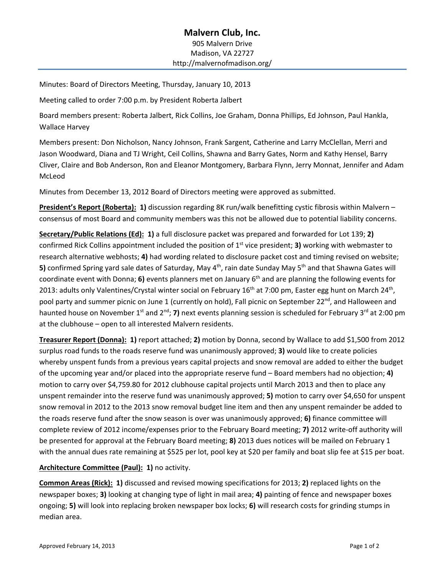# **Malvern Club, Inc.** 905 Malvern Drive Madison, VA 22727 http://malvernofmadison.org/

Minutes: Board of Directors Meeting, Thursday, January 10, 2013

Meeting called to order 7:00 p.m. by President Roberta Jalbert

Board members present: Roberta Jalbert, Rick Collins, Joe Graham, Donna Phillips, Ed Johnson, Paul Hankla, Wallace Harvey

Members present: Don Nicholson, Nancy Johnson, Frank Sargent, Catherine and Larry McClellan, Merri and Jason Woodward, Diana and TJ Wright, Ceil Collins, Shawna and Barry Gates, Norm and Kathy Hensel, Barry Cliver, Claire and Bob Anderson, Ron and Eleanor Montgomery, Barbara Flynn, Jerry Monnat, Jennifer and Adam McLeod

Minutes from December 13, 2012 Board of Directors meeting were approved as submitted.

**President's Report (Roberta): 1)** discussion regarding 8K run/walk benefitting cystic fibrosis within Malvern – consensus of most Board and community members was this not be allowed due to potential liability concerns.

**Secretary/Public Relations (Ed): 1)** a full disclosure packet was prepared and forwarded for Lot 139; **2)** confirmed Rick Collins appointment included the position of 1st vice president; **3)** working with webmaster to research alternative webhosts; **4)** had wording related to disclosure packet cost and timing revised on website; **5)** confirmed Spring yard sale dates of Saturday, May 4<sup>th</sup>, rain date Sunday May 5<sup>th</sup> and that Shawna Gates will coordinate event with Donna; **6)** events planners met on January 6th and are planning the following events for 2013: adults only Valentines/Crystal winter social on February 16<sup>th</sup> at 7:00 pm, Easter egg hunt on March 24<sup>th</sup>, pool party and summer picnic on June 1 (currently on hold), Fall picnic on September 22<sup>nd</sup>, and Halloween and haunted house on November 1<sup>st</sup> and 2<sup>nd</sup>; **7)** next events planning session is scheduled for February 3<sup>rd</sup> at 2:00 pm at the clubhouse – open to all interested Malvern residents.

**Treasurer Report (Donna): 1)** report attached; **2)** motion by Donna, second by Wallace to add \$1,500 from 2012 surplus road funds to the roads reserve fund was unanimously approved; **3)** would like to create policies whereby unspent funds from a previous years capital projects and snow removal are added to either the budget of the upcoming year and/or placed into the appropriate reserve fund – Board members had no objection; **4)** motion to carry over \$4,759.80 for 2012 clubhouse capital projects until March 2013 and then to place any unspent remainder into the reserve fund was unanimously approved; **5)** motion to carry over \$4,650 for unspent snow removal in 2012 to the 2013 snow removal budget line item and then any unspent remainder be added to the roads reserve fund after the snow season is over was unanimously approved; **6)** finance committee will complete review of 2012 income/expenses prior to the February Board meeting; **7)** 2012 write-off authority will be presented for approval at the February Board meeting; **8)** 2013 dues notices will be mailed on February 1 with the annual dues rate remaining at \$525 per lot, pool key at \$20 per family and boat slip fee at \$15 per boat.

### **Architecture Committee (Paul): 1)** no activity.

**Common Areas (Rick): 1)** discussed and revised mowing specifications for 2013; **2)** replaced lights on the newspaper boxes; **3)** looking at changing type of light in mail area; **4)** painting of fence and newspaper boxes ongoing; **5)** will look into replacing broken newspaper box locks; **6)** will research costs for grinding stumps in median area.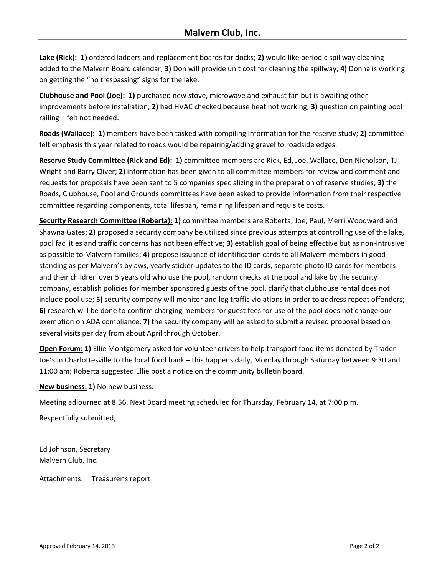**Lake (Rick): 1)** ordered ladders and replacement boards for docks; **2)** would like periodic spillway cleaning added to the Malvern Board calendar; **3)** Don will provide unit cost for cleaning the spillway; **4)** Donna is working on getting the "no trespassing" signs for the lake.

**Clubhouse and Pool (Joe): 1)** purchased new stove, microwave and exhaust fan but is awaiting other improvements before installation; **2)** had HVAC checked because heat not working; **3)** question on painting pool railing – felt not needed.

**Roads (Wallace): 1)** members have been tasked with compiling information for the reserve study; **2)** committee felt emphasis this year related to roads would be repairing/adding gravel to roadside edges.

**Reserve Study Committee (Rick and Ed): 1)** committee members are Rick, Ed, Joe, Wallace, Don Nicholson, TJ Wright and Barry Cliver; **2)** information has been given to all committee members for review and comment and requests for proposals have been sent to 5 companies specializing in the preparation of reserve studies; **3)** the Roads, Clubhouse, Pool and Grounds committees have been asked to provide information from their respective committee regarding components, total lifespan, remaining lifespan and requisite costs.

**Security Research Committee (Roberta): 1)** committee members are Roberta, Joe, Paul, Merri Woodward and Shawna Gates; **2)** proposed a security company be utilized since previous attempts at controlling use of the lake, pool facilities and traffic concerns has not been effective; **3)** establish goal of being effective but as non-intrusive as possible to Malvern families; **4)** propose issuance of identification cards to all Malvern members in good standing as per Malvern's bylaws, yearly sticker updates to the ID cards, separate photo ID cards for members and their children over 5 years old who use the pool, random checks at the pool and lake by the security company, establish policies for member sponsored guests of the pool, clarify that clubhouse rental does not include pool use; **5)** security company will monitor and log traffic violations in order to address repeat offenders; **6)** research will be done to confirm charging members for guest fees for use of the pool does not change our exemption on ADA compliance; **7)** the security company will be asked to submit a revised proposal based on several visits per day from about April through October.

**Open Forum: 1)** Ellie Montgomery asked for volunteer drivers to help transport food items donated by Trader Joe's in Charlottesville to the local food bank – this happens daily, Monday through Saturday between 9:30 and 11:00 am; Roberta suggested Ellie post a notice on the community bulletin board.

**New business: 1)** No new business.

Meeting adjourned at 8:56. Next Board meeting scheduled for Thursday, February 14, at 7:00 p.m.

Respectfully submitted,

Ed Johnson, Secretary Malvern Club, Inc.

Attachments: Treasurer's report